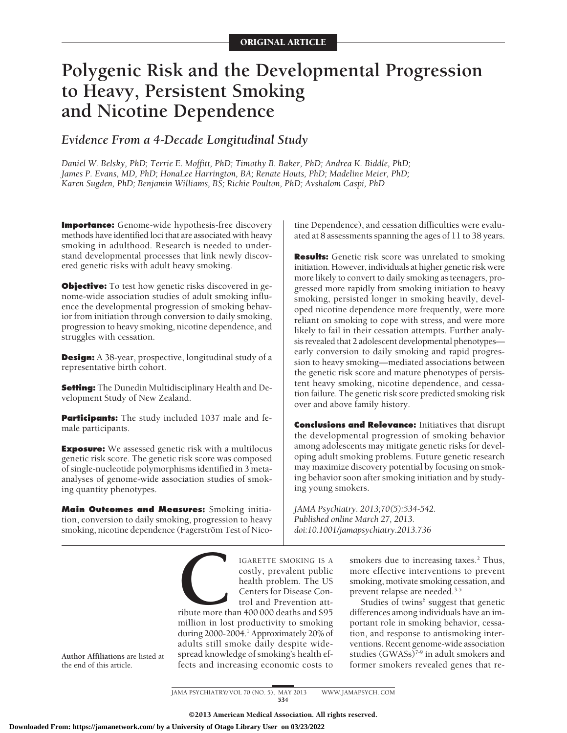# **Polygenic Risk and the Developmental Progression to Heavy, Persistent Smoking and Nicotine Dependence**

# *Evidence From a 4-Decade Longitudinal Study*

*Daniel W. Belsky, PhD; Terrie E. Moffitt, PhD; Timothy B. Baker, PhD; Andrea K. Biddle, PhD; James P. Evans, MD, PhD; HonaLee Harrington, BA; Renate Houts, PhD; Madeline Meier, PhD; Karen Sugden, PhD; Benjamin Williams, BS; Richie Poulton, PhD; Avshalom Caspi, PhD*

**Importance:** Genome-wide hypothesis-free discovery methods have identified loci that are associated with heavy smoking in adulthood. Research is needed to understand developmental processes that link newly discovered genetic risks with adult heavy smoking.

**Objective:** To test how genetic risks discovered in genome-wide association studies of adult smoking influence the developmental progression of smoking behavior from initiation through conversion to daily smoking, progression to heavy smoking, nicotine dependence, and struggles with cessation.

**Design:** A 38-year, prospective, longitudinal study of a representative birth cohort.

**Setting:** The Dunedin Multidisciplinary Health and Development Study of New Zealand.

**Participants:** The study included 1037 male and female participants.

**Exposure:** We assessed genetic risk with a multilocus genetic risk score. The genetic risk score was composed of single-nucleotide polymorphisms identified in 3 metaanalyses of genome-wide association studies of smoking quantity phenotypes.

**Main Outcomes and Measures:** Smoking initiation, conversion to daily smoking, progression to heavy smoking, nicotine dependence (Fagerström Test of Nico-

tine Dependence), and cessation difficulties were evaluated at 8 assessments spanning the ages of 11 to 38 years.

**Results:** Genetic risk score was unrelated to smoking initiation. However, individuals at higher genetic risk were more likely to convert to daily smoking as teenagers, progressed more rapidly from smoking initiation to heavy smoking, persisted longer in smoking heavily, developed nicotine dependence more frequently, were more reliant on smoking to cope with stress, and were more likely to fail in their cessation attempts. Further analysis revealed that 2 adolescent developmental phenotypes early conversion to daily smoking and rapid progression to heavy smoking—mediated associations between the genetic risk score and mature phenotypes of persistent heavy smoking, nicotine dependence, and cessation failure. The genetic risk score predicted smoking risk over and above family history.

**Conclusions and Relevance:** Initiatives that disrupt the developmental progression of smoking behavior among adolescents may mitigate genetic risks for developing adult smoking problems. Future genetic research may maximize discovery potential by focusing on smoking behavior soon after smoking initiation and by studying young smokers.

*JAMA Psychiatry. 2013;70(5):534-542. Published online March 27, 2013. doi:10.1001/jamapsychiatry.2013.736*

IGARETTE SMOKING IS A<br>
costly, prevalent public<br>
health problem. The US<br>
Centers for Disease Con-<br>
trol and Prevention att-<br>
ribute more than 400 000 deaths and \$95<br>
million in lost productivity to smoking costly, prevalent public health problem. The US Centers for Disease Control and Prevention attmillion in lost productivity to smoking during 2000-2004.<sup>1</sup> Approximately 20% of adults still smoke daily despite widespread knowledge of smoking's health effects and increasing economic costs to

smokers due to increasing taxes.<sup>2</sup> Thus, more effective interventions to prevent smoking, motivate smoking cessation, and prevent relapse are needed.<sup>3-5</sup>

Studies of twins<sup>6</sup> suggest that genetic differences among individuals have an important role in smoking behavior, cessation, and response to antismoking interventions. Recent genome-wide association studies (GWASs)<sup>7-9</sup> in adult smokers and former smokers revealed genes that re-

**Author Affiliations** are listed at the end of this article.

> JAMA PSYCHIATRY/ VOL 70 (NO. 5), MAY 2013 WWW. JAMAPSYCH.COM 534

©2013 American Medical Association. All rights reserved.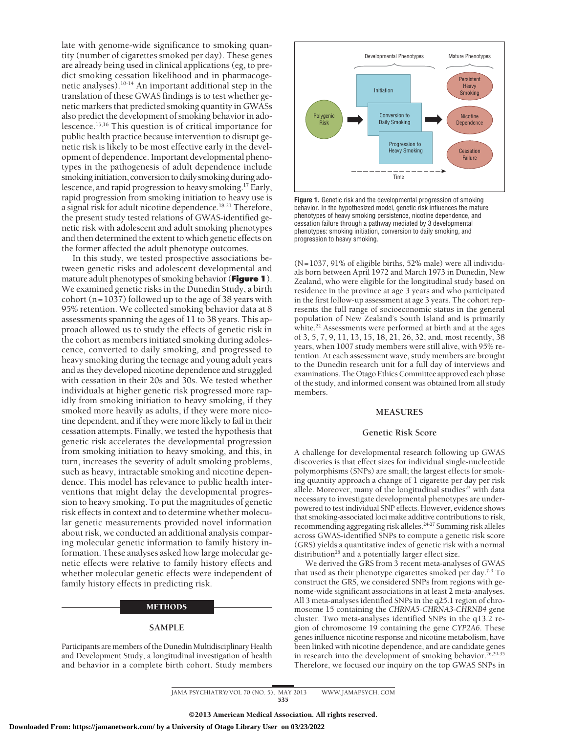late with genome-wide significance to smoking quantity (number of cigarettes smoked per day). These genes are already being used in clinical applications (eg, to predict smoking cessation likelihood and in pharmacogenetic analyses).10-14 An important additional step in the translation of these GWAS findings is to test whether genetic markers that predicted smoking quantity in GWASs also predict the development of smoking behavior in adolescence.15,16 This question is of critical importance for public health practice because intervention to disrupt genetic risk is likely to be most effective early in the development of dependence.Important developmental phenotypes in the pathogenesis of adult dependence include smoking initiation, conversion to daily smoking during adolescence, and rapid progression to heavy smoking.17 Early, rapid progression from smoking initiation to heavy use is a signal risk for adult nicotine dependence.<sup>18-21</sup> Therefore, the present study tested relations of GWAS-identified genetic risk with adolescent and adult smoking phenotypes and then determined the extent to which genetic effects on the former affected the adult phenotype outcomes.

In this study, we tested prospective associations between genetic risks and adolescent developmental and mature adult phenotypes of smoking behavior (**Figure 1**). We examined genetic risks in the Dunedin Study, a birth cohort ( $n=1037$ ) followed up to the age of 38 years with 95% retention. We collected smoking behavior data at 8 assessments spanning the ages of 11 to 38 years. This approach allowed us to study the effects of genetic risk in the cohort as members initiated smoking during adolescence, converted to daily smoking, and progressed to heavy smoking during the teenage and young adult years and as they developed nicotine dependence and struggled with cessation in their 20s and 30s. We tested whether individuals at higher genetic risk progressed more rapidly from smoking initiation to heavy smoking, if they smoked more heavily as adults, if they were more nicotine dependent, and if they were more likely to fail in their cessation attempts. Finally, we tested the hypothesis that genetic risk accelerates the developmental progression from smoking initiation to heavy smoking, and this, in turn, increases the severity of adult smoking problems, such as heavy, intractable smoking and nicotine dependence. This model has relevance to public health interventions that might delay the developmental progression to heavy smoking. To put the magnitudes of genetic risk effects in context and to determine whether molecular genetic measurements provided novel information about risk, we conducted an additional analysis comparing molecular genetic information to family history information. These analyses asked how large molecular genetic effects were relative to family history effects and whether molecular genetic effects were independent of family history effects in predicting risk.

#### **METHODS**

#### **SAMPLE**

Participants are members of the Dunedin Multidisciplinary Health and Development Study, a longitudinal investigation of health and behavior in a complete birth cohort. Study members



**Figure 1.** Genetic risk and the developmental progression of smoking behavior. In the hypothesized model, genetic risk influences the mature phenotypes of heavy smoking persistence, nicotine dependence, and cessation failure through a pathway mediated by 3 developmental phenotypes: smoking initiation, conversion to daily smoking, and progression to heavy smoking.

(N=1037, 91% of eligible births, 52% male) were all individuals born between April 1972 and March 1973 in Dunedin, New Zealand, who were eligible for the longitudinal study based on residence in the province at age 3 years and who participated in the first follow-up assessment at age 3 years. The cohort represents the full range of socioeconomic status in the general population of New Zealand's South Island and is primarily white.<sup>22</sup> Assessments were performed at birth and at the ages of 3, 5, 7, 9, 11, 13, 15, 18, 21, 26, 32, and, most recently, 38 years, when 1007 study members were still alive, with 95% retention. At each assessment wave, study members are brought to the Dunedin research unit for a full day of interviews and examinations. The Otago Ethics Committee approved each phase of the study, and informed consent was obtained from all study members.

#### **MEASURES**

#### **Genetic Risk Score**

A challenge for developmental research following up GWAS discoveries is that effect sizes for individual single-nucleotide polymorphisms (SNPs) are small; the largest effects for smoking quantity approach a change of 1 cigarette per day per risk allele. Moreover, many of the longitudinal studies<sup>23</sup> with data necessary to investigate developmental phenotypes are underpowered to test individual SNP effects. However, evidence shows that smoking-associated loci make additive contributions to risk, recommending aggregating risk alleles.<sup>24-27</sup> Summing risk alleles across GWAS-identified SNPs to compute a genetic risk score (GRS) yields a quantitative index of genetic risk with a normal distribution<sup>28</sup> and a potentially larger effect size.

We derived the GRS from 3 recent meta-analyses of GWAS that used as their phenotype cigarettes smoked per day.<sup>7-9</sup> To construct the GRS, we considered SNPs from regions with genome-wide significant associations in at least 2 meta-analyses. All 3 meta-analyses identified SNPs in the q25.1 region of chromosome 15 containing the *CHRNA5-CHRNA3-CHRNB4* gene cluster. Two meta-analyses identified SNPs in the q13.2 region of chromosome 19 containing the gene *CYP2A6*. These genes influence nicotine response and nicotine metabolism, have been linked with nicotine dependence, and are candidate genes in research into the development of smoking behavior.<sup>26,29-35</sup> Therefore, we focused our inquiry on the top GWAS SNPs in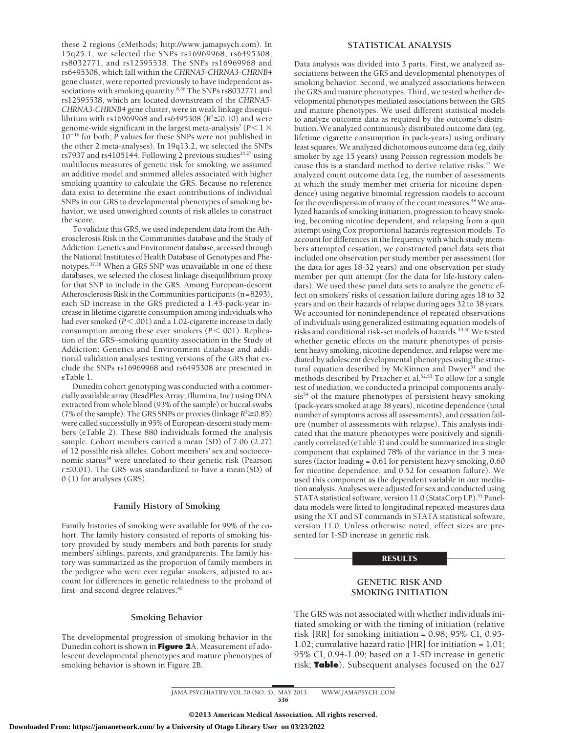these 2 regions (eMethods; http://www.jamapsych.com). In 15q25.1, we selected the SNPs rs16969968, rs6495308, rs8032771, and rs12595538. The SNPs rs16969968 and rs6495308, which fall within the *CHRNA5-CHRNA3-CHRNB4* gene cluster, were reported previously to have independent associations with smoking quantity.8,36 The SNPs rs8032771 and rs12595538, which are located downstream of the *CHRNA5- CHRNA3-CHRNB4* gene cluster, were in weak linkage disequilibrium with rs16969968 and rs6495308 (R<sup>2</sup>≤0.10) and were genome-wide significant in the largest meta-analysis<sup>7</sup> ( $P$  < 1  $\times$ 10<sup>-16</sup> for both; *P* values for these SNPs were not published in the other 2 meta-analyses). In 19q13.2, we selected the SNPs rs7937 and rs4105144. Following 2 previous studies<sup>25,27</sup> using multilocus measures of genetic risk for smoking, we assumed an additive model and summed alleles associated with higher smoking quantity to calculate the GRS. Because no reference data exist to determine the exact contributions of individual SNPs in our GRS to developmental phenotypes of smoking behavior, we used unweighted counts of risk alleles to construct the score.

To validate this GRS, we used independent data from the Atherosclerosis Risk in the Communities database and the Study of Addiction: Genetics and Environment database, accessed through the National Institutes of Health Database of Genotypes and Phenotypes.37,38 When a GRS SNP was unavailable in one of these databases, we selected the closest linkage disequilibrium proxy for that SNP to include in the GRS. Among European-descent Atherosclerosis Risk in the Communities participants (n=8293), each SD increase in the GRS predicted a 1.45-pack-year increase in lifetime cigarette consumption among individuals who had ever smoked ( $P$ <.001) and a 1.02-cigarette increase in daily consumption among these ever smokers ( $P$ <.001). Replication of the GRS–smoking quantity association in the Study of Addiction: Genetics and Environment database and additional validation analyses testing versions of the GRS that exclude the SNPs rs16969968 and rs6495308 are presented in eTable 1.

Dunedin cohort genotyping was conducted with a commercially available array (BeadPlex Array; Illumina, Inc) using DNA extracted from whole blood (93% of the sample) or buccal swabs (7% of the sample). The GRS SNPs or proxies (linkage  $R^2 \ge 0.85$ ) were called successfully in 95% of European-descent study members (eTable 2). These 880 individuals formed the analysis sample. Cohort members carried a mean (SD) of 7.06 (2.27) of 12 possible risk alleles. Cohort members' sex and socioeconomic status<sup>39</sup> were unrelated to their genetic risk (Pearson *r* ≤0.01). The GRS was standardized to have a mean(SD) of 0 (1) for analyses (GRS).

### **Family History of Smoking**

Family histories of smoking were available for 99% of the cohort. The family history consisted of reports of smoking history provided by study members and both parents for study members' siblings, parents, and grandparents. The family history was summarized as the proportion of family members in the pedigree who were ever regular smokers, adjusted to account for differences in genetic relatedness to the proband of first- and second-degree relatives.<sup>40</sup>

#### **Smoking Behavior**

The developmental progression of smoking behavior in the Dunedin cohort is shown in **Figure 2**A. Measurement of adolescent developmental phenotypes and mature phenotypes of smoking behavior is shown in Figure 2B.

# **STATISTICAL ANALYSIS**

Data analysis was divided into 3 parts. First, we analyzed associations between the GRS and developmental phenotypes of smoking behavior. Second, we analyzed associations between the GRS and mature phenotypes. Third, we tested whether developmental phenotypes mediated associations between the GRS and mature phenotypes. We used different statistical models to analyze outcome data as required by the outcome's distribution. We analyzed continuously distributed outcome data (eg, lifetime cigarette consumption in pack-years) using ordinary least squares. We analyzed dichotomous outcome data (eg, daily smoker by age 15 years) using Poisson regression models because this is a standard method to derive relative risks.<sup>47</sup> We analyzed count outcome data (eg, the number of assessments at which the study member met criteria for nicotine dependence) using negative binomial regression models to account for the overdispersion of many of the count measures.<sup>48</sup> We analyzed hazards of smoking initiation, progression to heavy smoking, becoming nicotine dependent, and relapsing from a quit attempt using Cox proportional hazards regression models. To account for differences in the frequency with which study members attempted cessation, we constructed panel data sets that included one observation per study member per assessment (for the data for ages 18-32 years) and one observation per study member per quit attempt (for the data for life-history calendars). We used these panel data sets to analyze the genetic effect on smokers' risks of cessation failure during ages 18 to 32 years and on their hazards of relapse during ages 32 to 38 years. We accounted for nonindependence of repeated observations of individuals using generalized estimating equation models of risks and conditional risk-set models of hazards.<sup>49,50</sup> We tested whether genetic effects on the mature phenotypes of persistent heavy smoking, nicotine dependence, and relapse were mediated by adolescent developmental phenotypes using the structural equation described by McKinnon and Dwyer<sup>51</sup> and the methods described by Preacher et al.<sup>52,53</sup> To allow for a single test of mediation, we conducted a principal components analysis<sup>54</sup> of the mature phenotypes of persistent heavy smoking (pack-years smoked at age 38 years), nicotine dependence (total number of symptoms across all assessments), and cessation failure (number of assessments with relapse). This analysis indicated that the mature phenotypes were positively and significantly correlated (eTable 3) and could be summarized in a single component that explained 78% of the variance in the 3 measures (factor loading = 0.61 for persistent heavy smoking, 0.60 for nicotine dependence, and 0.52 for cessation failure). We used this component as the dependent variable in our mediation analysis. Analyses were adjusted for sex and conducted using STATA statistical software, version 11.0 (StataCorp LP).<sup>55</sup> Paneldata models were fitted to longitudinal repeated-measures data using the XT and ST commands in STATA statistical software, version 11.0. Unless otherwise noted, effect sizes are presented for 1-SD increase in genetic risk.

#### **RESULTS**

# **GENETIC RISK AND SMOKING INITIATION**

The GRS was not associated with whether individuals initiated smoking or with the timing of initiation (relative risk [RR] for smoking initiation = 0.98; 95% CI, 0.95- 1.02; cumulative hazard ratio [HR] for initiation = 1.01; 95% CI, 0.94-1.09; based on a 1-SD increase in genetic risk; **Table**). Subsequent analyses focused on the 627

JAMA PSYCHIATRY/ VOL 70 (NO. 5), MAY 2013 WWW. JAMAPSYCH.COM 536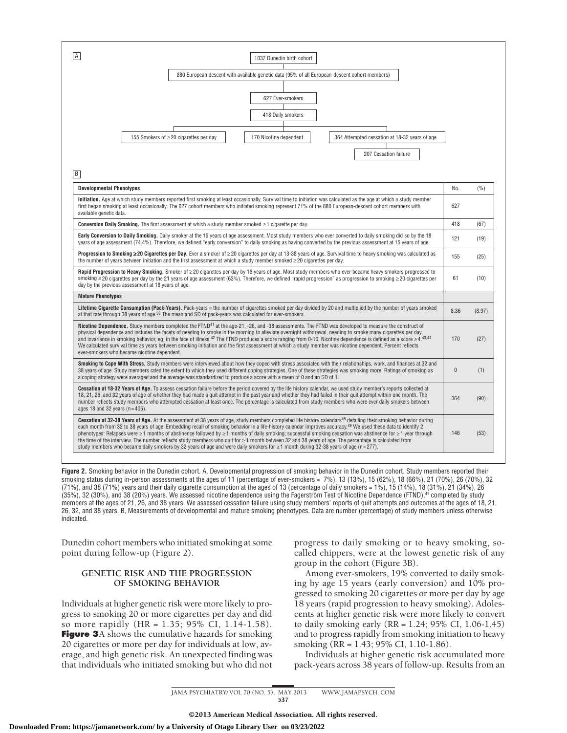

**Figure 2.** Smoking behavior in the Dunedin cohort. A, Developmental progression of smoking behavior in the Dunedin cohort. Study members reported their smoking status during in-person assessments at the ages of 11 (percentage of ever-smokers = 7%), 13 (13%), 15 (62%), 18 (66%), 21 (70%), 26 (70%), 32 (71%), and 38 (71%) years and their daily cigarette consumption at the ages of 13 (percentage of daily smokers = 1%), 15 (14%), 18 (31%), 21 (34%), 26 (35%), 32 (30%), and 38 (20%) years. We assessed nicotine dependence using the Fagerstrom Test of Nicotine Dependence (FTND),<sup>41</sup> completed by study members at the ages of 21, 26, and 38 years. We assessed cessation failure using study members' reports of quit attempts and outcomes at the ages of 18, 21, 26, 32, and 38 years. B, Measurements of developmental and mature smoking phenotypes. Data are number (percentage) of study members unless otherwise indicated.

Dunedin cohort members who initiated smoking at some point during follow-up (Figure 2).

# **GENETIC RISK AND THE PROGRESSION OF SMOKING BEHAVIOR**

Individuals at higher genetic risk were more likely to progress to smoking 20 or more cigarettes per day and did so more rapidly (HR = 1.35; 95% CI, 1.14-1.58). **Figure 3**A shows the cumulative hazards for smoking 20 cigarettes or more per day for individuals at low, average, and high genetic risk. An unexpected finding was that individuals who initiated smoking but who did not progress to daily smoking or to heavy smoking, socalled chippers, were at the lowest genetic risk of any group in the cohort (Figure 3B).

Among ever-smokers, 19% converted to daily smoking by age 15 years (early conversion) and 10% progressed to smoking 20 cigarettes or more per day by age 18 years (rapid progression to heavy smoking). Adolescents at higher genetic risk were more likely to convert to daily smoking early (RR = 1.24; 95% CI, 1.06-1.45) and to progress rapidly from smoking initiation to heavy smoking (RR = 1.43; 95% CI, 1.10-1.86).

Individuals at higher genetic risk accumulated more pack-years across 38 years of follow-up. Results from an

JAMA PSYCHIATRY/ VOL 70 (NO. 5), MAY 2013 WWW. JAMAPSYCH.COM 537

©2013 American Medical Association. All rights reserved.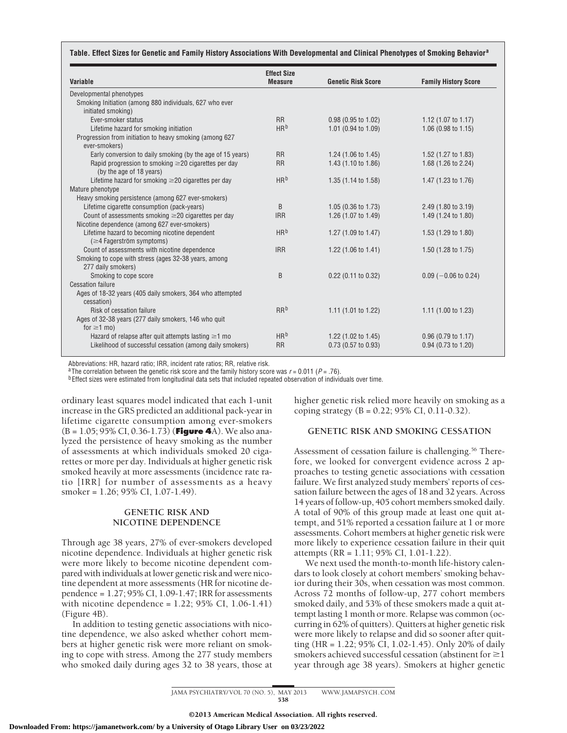| Variable                                                                                                                    | <b>Effect Size</b><br><b>Measure</b> | <b>Genetic Risk Score</b>                    | <b>Family History Score</b>                |
|-----------------------------------------------------------------------------------------------------------------------------|--------------------------------------|----------------------------------------------|--------------------------------------------|
| Developmental phenotypes                                                                                                    |                                      |                                              |                                            |
| Smoking Initiation (among 880 individuals, 627 who ever<br>initiated smoking)                                               |                                      |                                              |                                            |
| Ever-smoker status                                                                                                          | <b>RR</b>                            | $0.98$ (0.95 to 1.02)                        | 1.12 (1.07 to 1.17)                        |
| Lifetime hazard for smoking initiation                                                                                      | HR <sup>b</sup>                      | 1.01 (0.94 to 1.09)                          | 1.06 (0.98 to 1.15)                        |
| Progression from initiation to heavy smoking (among 627<br>ever-smokers)                                                    |                                      |                                              |                                            |
| Early conversion to daily smoking (by the age of 15 years)                                                                  | <b>RR</b>                            | 1.24 (1.06 to 1.45)                          | 1.52 (1.27 to 1.83)                        |
| Rapid progression to smoking $\geq$ 20 cigarettes per day<br>(by the age of 18 years)                                       | <b>RR</b>                            | 1.43 (1.10 to 1.86)                          | 1.68 (1.26 to 2.24)                        |
| Lifetime hazard for smoking $\geq$ 20 cigarettes per day                                                                    | HR <sup>b</sup>                      | 1.35 (1.14 to 1.58)                          | 1.47 (1.23 to 1.76)                        |
| Mature phenotype<br>Heavy smoking persistence (among 627 ever-smokers)                                                      |                                      |                                              |                                            |
| Lifetime cigarette consumption (pack-years)                                                                                 | B                                    | 1.05 (0.36 to 1.73)                          | 2.49 (1.80 to 3.19)                        |
| Count of assessments smoking $\geq$ 20 cigarettes per day<br>Nicotine dependence (among 627 ever-smokers)                   | <b>IRR</b>                           | 1.26 (1.07 to 1.49)                          | 1.49 (1.24 to 1.80)                        |
| Lifetime hazard to becoming nicotine dependent<br>$(\geq 4$ Fagerström symptoms)                                            | HR <sup>b</sup>                      | 1.27 (1.09 to 1.47)                          | 1.53 (1.29 to 1.80)                        |
| Count of assessments with nicotine dependence<br>Smoking to cope with stress (ages 32-38 years, among<br>277 daily smokers) | <b>IRR</b>                           | 1.22 (1.06 to 1.41)                          | 1.50 (1.28 to 1.75)                        |
| Smoking to cope score                                                                                                       | B                                    | 0.22 (0.11 to 0.32)                          | $0.09$ (-0.06 to 0.24)                     |
| <b>Cessation failure</b><br>Ages of 18-32 years (405 daily smokers, 364 who attempted<br>cessation)                         |                                      |                                              |                                            |
| Risk of cessation failure<br>Ages of 32-38 years (277 daily smokers, 146 who quit<br>for $\geq$ 1 mo)                       | RR <sup>b</sup>                      | 1.11 $(1.01$ to 1.22)                        | 1.11 $(1.00 \text{ to } 1.23)$             |
| Hazard of relapse after quit attempts lasting $\geq$ 1 mo<br>Likelihood of successful cessation (among daily smokers)       | HR <sup>b</sup><br><b>RR</b>         | 1.22 (1.02 to 1.45)<br>$0.73$ (0.57 to 0.93) | 0.96 (0.79 to 1.17)<br>0.94 (0.73 to 1.20) |

Abbreviations: HR, hazard ratio; IRR, incident rate ratios; RR, relative risk.<br><sup>a</sup>The correlation between the genetic risk score and the family history score was  $r = 0.011$  ( $P = .76$ ).

<sup>b</sup> Effect sizes were estimated from longitudinal data sets that included repeated observation of individuals over time.

ordinary least squares model indicated that each 1-unit increase in the GRS predicted an additional pack-year in lifetime cigarette consumption among ever-smokers (B = 1.05; 95% CI, 0.36-1.73) (**Figure 4**A). We also analyzed the persistence of heavy smoking as the number of assessments at which individuals smoked 20 cigarettes or more per day. Individuals at higher genetic risk smoked heavily at more assessments (incidence rate ratio [IRR] for number of assessments as a heavy smoker = 1.26; 95% CI, 1.07-1.49).

# **GENETIC RISK AND NICOTINE DEPENDENCE**

Through age 38 years, 27% of ever-smokers developed nicotine dependence. Individuals at higher genetic risk were more likely to become nicotine dependent compared with individuals at lower genetic risk and were nicotine dependent at more assessments (HR for nicotine dependence = 1.27; 95% CI, 1.09-1.47; IRR for assessments with nicotine dependence = 1.22; 95% CI, 1.06-1.41) (Figure 4B).

In addition to testing genetic associations with nicotine dependence, we also asked whether cohort members at higher genetic risk were more reliant on smoking to cope with stress. Among the 277 study members who smoked daily during ages 32 to 38 years, those at

higher genetic risk relied more heavily on smoking as a coping strategy (B = 0.22; 95% CI, 0.11-0.32).

# **GENETIC RISK AND SMOKING CESSATION**

Assessment of cessation failure is challenging.<sup>56</sup> Therefore, we looked for convergent evidence across 2 approaches to testing genetic associations with cessation failure. We first analyzed study members' reports of cessation failure between the ages of 18 and 32 years. Across 14 years of follow-up, 405 cohort members smoked daily. A total of 90% of this group made at least one quit attempt, and 51% reported a cessation failure at 1 or more assessments. Cohort members at higher genetic risk were more likely to experience cessation failure in their quit attempts (RR = 1.11; 95% CI, 1.01-1.22).

We next used the month-to-month life-history calendars to look closely at cohort members' smoking behavior during their 30s, when cessation was most common. Across 72 months of follow-up, 277 cohort members smoked daily, and 53% of these smokers made a quit attempt lasting 1 month or more. Relapse was common (occurring in 62% of quitters). Quitters at higher genetic risk were more likely to relapse and did so sooner after quitting (HR = 1.22; 95% CI, 1.02-1.45). Only 20% of daily smokers achieved successful cessation (abstinent for  $\geq 1$ year through age 38 years). Smokers at higher genetic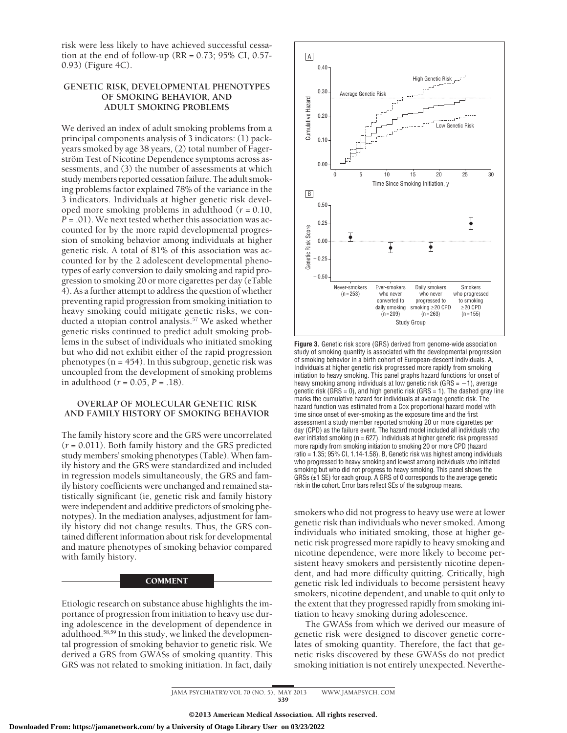risk were less likely to have achieved successful cessation at the end of follow-up ( $RR = 0.73$ ; 95% CI, 0.57-0.93) (Figure 4C).

# **GENETIC RISK, DEVELOPMENTAL PHENOTYPES OF SMOKING BEHAVIOR, AND ADULT SMOKING PROBLEMS**

We derived an index of adult smoking problems from a principal components analysis of 3 indicators: (1) packyears smoked by age 38 years, (2) total number of Fagerström Test of Nicotine Dependence symptoms across assessments, and (3) the number of assessments at which study members reported cessation failure. The adult smoking problems factor explained 78% of the variance in the 3 indicators. Individuals at higher genetic risk developed more smoking problems in adulthood (*r* = 0.10, *P* = .01). We next tested whether this association was accounted for by the more rapid developmental progression of smoking behavior among individuals at higher genetic risk. A total of 81% of this association was accounted for by the 2 adolescent developmental phenotypes of early conversion to daily smoking and rapid progression to smoking 20 or more cigarettes per day (eTable 4). As a further attempt to address the question of whether preventing rapid progression from smoking initiation to heavy smoking could mitigate genetic risks, we conducted a utopian control analysis.<sup>57</sup> We asked whether genetic risks continued to predict adult smoking problems in the subset of individuals who initiated smoking but who did not exhibit either of the rapid progression phenotypes ( $n = 454$ ). In this subgroup, genetic risk was uncoupled from the development of smoking problems in adulthood (*r* = 0.05, *P* = .18).

# **OVERLAP OF MOLECULAR GENETIC RISK AND FAMILY HISTORY OF SMOKING BEHAVIOR**

The family history score and the GRS were uncorrelated (*r* = 0.011). Both family history and the GRS predicted study members' smoking phenotypes (Table). When family history and the GRS were standardized and included in regression models simultaneously, the GRS and family history coefficients were unchanged and remained statistically significant (ie, genetic risk and family history were independent and additive predictors of smoking phenotypes). In the mediation analyses, adjustment for family history did not change results. Thus, the GRS contained different information about risk for developmental and mature phenotypes of smoking behavior compared with family history.

# **COMMENT**

Etiologic research on substance abuse highlights the importance of progression from initiation to heavy use during adolescence in the development of dependence in adulthood.58,59 In this study, we linked the developmental progression of smoking behavior to genetic risk. We derived a GRS from GWASs of smoking quantity. This GRS was not related to smoking initiation. In fact, daily



**Figure 3.** Genetic risk score (GRS) derived from genome-wide association study of smoking quantity is associated with the developmental progression of smoking behavior in a birth cohort of European-descent individuals. A, Individuals at higher genetic risk progressed more rapidly from smoking initiation to heavy smoking. This panel graphs hazard functions for onset of heavy smoking among individuals at low genetic risk (GRS =  $-1$ ), average genetic risk  $(GRS = 0)$ , and high genetic risk  $(GRS = 1)$ . The dashed gray line marks the cumulative hazard for individuals at average genetic risk. The hazard function was estimated from a Cox proportional hazard model with time since onset of ever-smoking as the exposure time and the first assessment a study member reported smoking 20 or more cigarettes per day (CPD) as the failure event. The hazard model included all individuals who ever initiated smoking (n = 627). Individuals at higher genetic risk progressed more rapidly from smoking initiation to smoking 20 or more CPD (hazard ratio = 1.35; 95% CI, 1.14-1.58). B, Genetic risk was highest among individuals who progressed to heavy smoking and lowest among individuals who initiated smoking but who did not progress to heavy smoking. This panel shows the GRSs (±1 SE) for each group. A GRS of 0 corresponds to the average genetic risk in the cohort. Error bars reflect SEs of the subgroup means.

smokers who did not progress to heavy use were at lower genetic risk than individuals who never smoked. Among individuals who initiated smoking, those at higher genetic risk progressed more rapidly to heavy smoking and nicotine dependence, were more likely to become persistent heavy smokers and persistently nicotine dependent, and had more difficulty quitting. Critically, high genetic risk led individuals to become persistent heavy smokers, nicotine dependent, and unable to quit only to the extent that they progressed rapidly from smoking initiation to heavy smoking during adolescence.

The GWASs from which we derived our measure of genetic risk were designed to discover genetic correlates of smoking quantity. Therefore, the fact that genetic risks discovered by these GWASs do not predict smoking initiation is not entirely unexpected. Neverthe-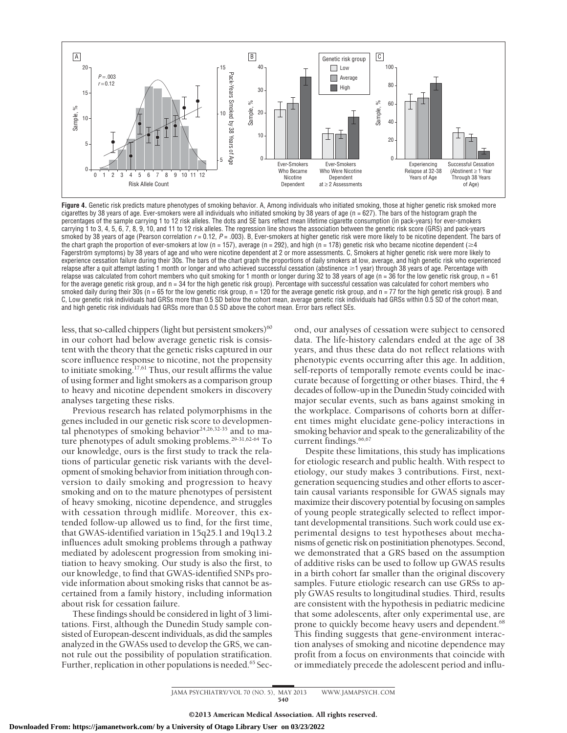

**Figure 4.** Genetic risk predicts mature phenotypes of smoking behavior. A, Among individuals who initiated smoking, those at higher genetic risk smoked more cigarettes by 38 years of age. Ever-smokers were all individuals who initiated smoking by 38 years of age (n = 627). The bars of the histogram graph the percentages of the sample carrying 1 to 12 risk alleles. The dots and SE bars reflect mean lifetime cigarette consumption (in pack-years) for ever-smokers carrying 1 to 3, 4, 5, 6, 7, 8, 9, 10, and 11 to 12 risk alleles. The regression line shows the association between the genetic risk score (GRS) and pack-years smoked by 38 years of age (Pearson correlation  $r = 0.12$ ,  $P = .003$ ). B, Ever-smokers at higher genetic risk were more likely to be nicotine dependent. The bars of the chart graph the proportion of ever-smokers at low (n = 157), average (n = 292), and high (n = 178) genetic risk who became nicotine dependent ( $\geq$ 4 Fagerström symptoms) by 38 years of age and who were nicotine dependent at 2 or more assessments. C, Smokers at higher genetic risk were more likely to experience cessation failure during their 30s. The bars of the chart graph the proportions of daily smokers at low, average, and high genetic risk who experienced relapse after a quit attempt lasting 1 month or longer and who achieved successful cessation (abstinence ≥1 year) through 38 years of age. Percentage with relapse was calculated from cohort members who quit smoking for 1 month or longer during 32 to 38 years of age (n = 36 for the low genetic risk group, n = 61 for the average genetic risk group, and n = 34 for the high genetic risk group). Percentage with successful cessation was calculated for cohort members who smoked daily during their 30s (n = 65 for the low genetic risk group, n = 120 for the average genetic risk group, and n = 77 for the high genetic risk group). B and C, Low genetic risk individuals had GRSs more than 0.5 SD below the cohort mean, average genetic risk individuals had GRSs within 0.5 SD of the cohort mean, and high genetic risk individuals had GRSs more than 0.5 SD above the cohort mean. Error bars reflect SEs.

less, that so-called chippers (light but persistent smokers) $60$ in our cohort had below average genetic risk is consistent with the theory that the genetic risks captured in our score influence response to nicotine, not the propensity to initiate smoking.<sup>17,61</sup> Thus, our result affirms the value of using former and light smokers as a comparison group to heavy and nicotine dependent smokers in discovery analyses targeting these risks.

Previous research has related polymorphisms in the genes included in our genetic risk score to developmental phenotypes of smoking behavior $24,26,32-35$  and to mature phenotypes of adult smoking problems.29-31,62-64 To our knowledge, ours is the first study to track the relations of particular genetic risk variants with the development of smoking behavior from initiation through conversion to daily smoking and progression to heavy smoking and on to the mature phenotypes of persistent of heavy smoking, nicotine dependence, and struggles with cessation through midlife. Moreover, this extended follow-up allowed us to find, for the first time, that GWAS-identified variation in 15q25.1 and 19q13.2 influences adult smoking problems through a pathway mediated by adolescent progression from smoking initiation to heavy smoking. Our study is also the first, to our knowledge, to find that GWAS-identified SNPs provide information about smoking risks that cannot be ascertained from a family history, including information about risk for cessation failure.

These findings should be considered in light of 3 limitations. First, although the Dunedin Study sample consisted of European-descent individuals, as did the samples analyzed in the GWASs used to develop the GRS, we cannot rule out the possibility of population stratification. Further, replication in other populations is needed.<sup>65</sup> Second, our analyses of cessation were subject to censored data. The life-history calendars ended at the age of 38 years, and thus these data do not reflect relations with phenotypic events occurring after this age. In addition, self-reports of temporally remote events could be inaccurate because of forgetting or other biases. Third, the 4 decades of follow-up in the Dunedin Study coincided with major secular events, such as bans against smoking in the workplace. Comparisons of cohorts born at different times might elucidate gene-policy interactions in smoking behavior and speak to the generalizability of the current findings.<sup>66,67</sup>

Despite these limitations, this study has implications for etiologic research and public health. With respect to etiology, our study makes 3 contributions. First, nextgeneration sequencing studies and other efforts to ascertain causal variants responsible for GWAS signals may maximize their discovery potential by focusing on samples of young people strategically selected to reflect important developmental transitions. Such work could use experimental designs to test hypotheses about mechanisms of genetic risk on postinitiation phenotypes. Second, we demonstrated that a GRS based on the assumption of additive risks can be used to follow up GWAS results in a birth cohort far smaller than the original discovery samples. Future etiologic research can use GRSs to apply GWAS results to longitudinal studies. Third, results are consistent with the hypothesis in pediatric medicine that some adolescents, after only experimental use, are prone to quickly become heavy users and dependent.<sup>68</sup> This finding suggests that gene-environment interaction analyses of smoking and nicotine dependence may profit from a focus on environments that coincide with or immediately precede the adolescent period and influ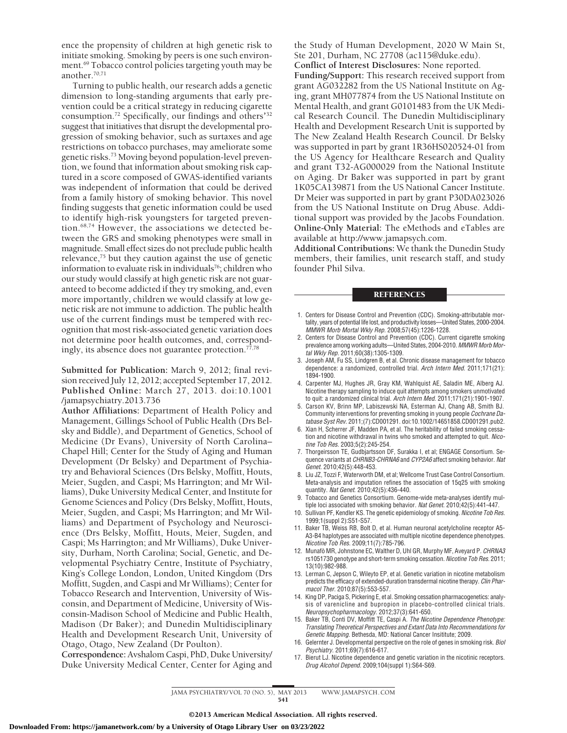ence the propensity of children at high genetic risk to initiate smoking. Smoking by peers is one such environment.69 Tobacco control policies targeting youth may be another.70,71

Turning to public health, our research adds a genetic dimension to long-standing arguments that early prevention could be a critical strategy in reducing cigarette consumption.<sup>72</sup> Specifically, our findings and others'<sup>32</sup> suggest that initiatives that disrupt the developmental progression of smoking behavior, such as surtaxes and age restrictions on tobacco purchases, may ameliorate some genetic risks.73 Moving beyond population-level prevention, we found that information about smoking risk captured in a score composed of GWAS-identified variants was independent of information that could be derived from a family history of smoking behavior. This novel finding suggests that genetic information could be used to identify high-risk youngsters for targeted prevention.68,74 However, the associations we detected between the GRS and smoking phenotypes were small in magnitude. Small effect sizes do not preclude public health relevance,<sup>75</sup> but they caution against the use of genetic information to evaluate risk in individuals<sup>76</sup>; children who our study would classify at high genetic risk are not guaranteed to become addicted if they try smoking, and, even more importantly, children we would classify at low genetic risk are not immune to addiction. The public health use of the current findings must be tempered with recognition that most risk-associated genetic variation does not determine poor health outcomes, and, correspondingly, its absence does not guarantee protection.<sup>77,78</sup>

**Submitted for Publication:** March 9, 2012; final revision received July 12, 2012; accepted September 17, 2012. **Published Online:** March 27, 2013. doi:10.1001 /jamapsychiatry.2013.736

**Author Affiliations:** Department of Health Policy and Management, Gillings School of Public Health (Drs Belsky and Biddle), and Department of Genetics, School of Medicine (Dr Evans), University of North Carolina– Chapel Hill; Center for the Study of Aging and Human Development (Dr Belsky) and Department of Psychiatry and Behavioral Sciences (Drs Belsky, Moffitt, Houts, Meier, Sugden, and Caspi; Ms Harrington; and Mr Williams), Duke University Medical Center, and Institute for Genome Sciences and Policy (Drs Belsky, Moffitt, Houts, Meier, Sugden, and Caspi; Ms Harrington; and Mr Williams) and Department of Psychology and Neuroscience (Drs Belsky, Moffitt, Houts, Meier, Sugden, and Caspi; Ms Harrington; and Mr Williams), Duke University, Durham, North Carolina; Social, Genetic, and Developmental Psychiatry Centre, Institute of Psychiatry, King's College London, London, United Kingdom (Drs Moffitt, Sugden, and Caspi and Mr Williams); Center for Tobacco Research and Intervention, University of Wisconsin, and Department of Medicine, University of Wisconsin-Madison School of Medicine and Public Health, Madison (Dr Baker); and Dunedin Multidisciplinary Health and Development Research Unit, University of Otago, Otago, New Zealand (Dr Poulton).

**Correspondence:**Avshalom Caspi, PhD, Duke University/ Duke University Medical Center, Center for Aging and

the Study of Human Development, 2020 W Main St, Ste 201, Durham, NC 27708 (ac115@duke.edu). **Conflict of Interest Disclosures:** None reported.

**Funding/Support:** This research received support from grant AG032282 from the US National Institute on Aging, grant MH077874 from the US National Institute on Mental Health, and grant G0101483 from the UK Medical Research Council. The Dunedin Multidisciplinary Health and Development Research Unit is supported by The New Zealand Health Research Council. Dr Belsky was supported in part by grant 1R36HS020524-01 from the US Agency for Healthcare Research and Quality and grant T32-AG000029 from the National Institute on Aging. Dr Baker was supported in part by grant 1K05CA139871 from the US National Cancer Institute. Dr Meier was supported in part by grant P30DA023026 from the US National Institute on Drug Abuse. Additional support was provided by the Jacobs Foundation. **Online-Only Material:** The eMethods and eTables are available at http://www.jamapsych.com.

**Additional Contributions:** We thank the Dunedin Study members, their families, unit research staff, and study founder Phil Silva.

#### **REFERENCES**

- 1. Centers for Disease Control and Prevention (CDC). Smoking-attributable mortality, years of potential life lost, and productivity losses—United States, 2000-2004. *MMWR Morb Mortal Wkly Rep*. 2008;57(45):1226-1228.
- 2. Centers for Disease Control and Prevention (CDC). Current cigarette smoking prevalence among working adults—United States, 2004-2010. *MMWR Morb Mortal Wkly Rep*. 2011;60(38):1305-1309.
- 3. Joseph AM, Fu SS, Lindgren B, et al. Chronic disease management for tobacco dependence: a randomized, controlled trial. *Arch Intern Med*. 2011;171(21): 1894-1900.
- 4. Carpenter MJ, Hughes JR, Gray KM, Wahlquist AE, Saladin ME, Alberg AJ. Nicotine therapy sampling to induce quit attempts among smokers unmotivated to quit: a randomized clinical trial. *Arch Intern Med*. 2011;171(21):1901-1907.
- 5. Carson KV, Brinn MP, Labiszewski NA, Esterman AJ, Chang AB, Smith BJ. Community interventions for preventing smoking in young people *Cochrane Database Syst Rev*. 2011;(7):CD001291. doi:10.1002/14651858.CD001291.pub2.
- 6. Xian H, Scherrer JF, Madden PA, et al. The heritability of failed smoking cessation and nicotine withdrawal in twins who smoked and attempted to quit. *Nicotine Tob Res*. 2003;5(2):245-254.
- 7. Thorgeirsson TE, Gudbjartsson DF, Surakka I, et al; ENGAGE Consortium. Sequence variants at *CHRNB3-CHRNA6* and *CYP2A6* affect smoking behavior. *Nat Genet*. 2010;42(5):448-453.
- 8. Liu JZ, Tozzi F, Waterworth DM, et al; Wellcome Trust Case Control Consortium. Meta-analysis and imputation refines the association of 15q25 with smoking quantity. *Nat Genet*. 2010;42(5):436-440.
- 9. Tobacco and Genetics Consortium. Genome-wide meta-analyses identify multiple loci associated with smoking behavior. *Nat Genet*. 2010;42(5):441-447.
- 10. Sullivan PF, Kendler KS. The genetic epidemiology of smoking. *Nicotine Tob Res*. 1999;1(suppl 2):S51-S57.
- 11. Baker TB, Weiss RB, Bolt D, et al. Human neuronal acetylcholine receptor A5- A3-B4 haplotypes are associated with multiple nicotine dependence phenotypes. *Nicotine Tob Res*. 2009;11(7):785-796.
- 12. Munafò MR, Johnstone EC, Walther D, Uhl GR, Murphy MF, Aveyard P. *CHRNA3* rs1051730 genotype and short-term smoking cessation. *Nicotine Tob Res*. 2011; 13(10):982-988.
- 13. Lerman C, Jepson C, Wileyto EP, et al. Genetic variation in nicotine metabolism predicts the efficacy of extended-duration transdermal nicotine therapy. *Clin Pharmacol Ther*. 2010;87(5):553-557.
- 14. King DP, Paciga S, Pickering E, et al. Smoking cessation pharmacogenetics: analysis of varenicline and bupropion in placebo-controlled clinical trials. *Neuropsychopharmacology*. 2012;37(3):641-650.
- 15. Baker TB, Conti DV, Moffitt TE, Caspi A. *The Nicotine Dependence Phenotype: Translating Theoretical Perspectives and Extant Data Into Recommendations for Genetic Mapping.* Bethesda, MD: National Cancer Insititute; 2009.
- 16. Gelernter J. Developmental perspective on the role of genes in smoking risk. *Biol Psychiatry*. 2011;69(7):616-617.
- 17. Bierut LJ. Nicotine dependence and genetic variation in the nicotinic receptors. *Drug Alcohol Depend*. 2009;104(suppl 1):S64-S69.

JAMA PSYCHIATRY/ VOL 70 (NO. 5), MAY 2013 WWW. JAMAPSYCH.COM 541